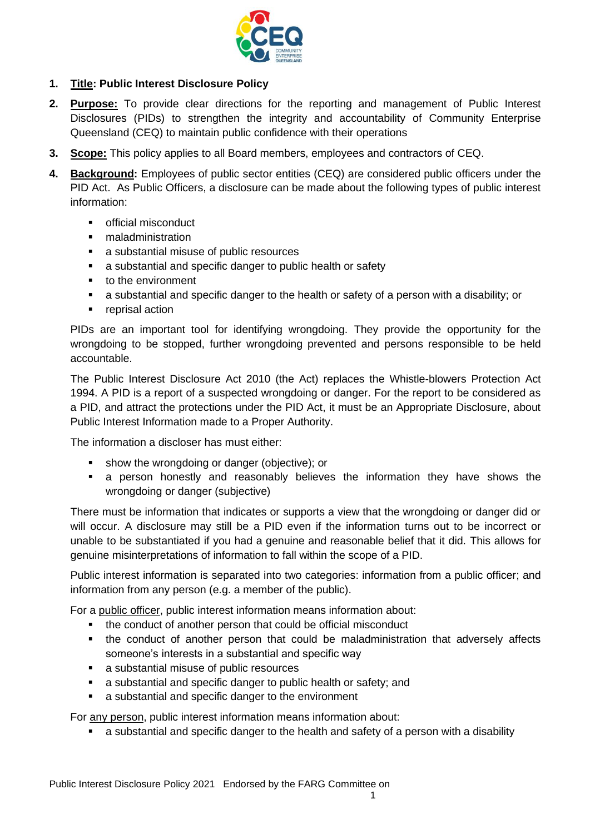

## **1. Title: Public Interest Disclosure Policy**

- **2. Purpose:** To provide clear directions for the reporting and management of Public Interest Disclosures (PIDs) to strengthen the integrity and accountability of Community Enterprise Queensland (CEQ) to maintain public confidence with their operations
- **3. Scope:** This policy applies to all Board members, employees and contractors of CEQ.
- **4. Background:** Employees of public sector entities (CEQ) are considered public officers under the PID Act. As Public Officers, a disclosure can be made about the following types of public interest information:
	- official misconduct
	- maladministration
	- a substantial misuse of public resources
	- a substantial and specific danger to public health or safety
	- to the environment
	- a substantial and specific danger to the health or safety of a person with a disability; or
	- **•** reprisal action

PIDs are an important tool for identifying wrongdoing. They provide the opportunity for the wrongdoing to be stopped, further wrongdoing prevented and persons responsible to be held accountable.

The Public Interest Disclosure Act 2010 (the Act) replaces the Whistle-blowers Protection Act 1994. A PID is a report of a suspected wrongdoing or danger. For the report to be considered as a PID, and attract the protections under the PID Act, it must be an Appropriate Disclosure, about Public Interest Information made to a Proper Authority.

The information a discloser has must either:

- show the wrongdoing or danger (objective); or
- a person honestly and reasonably believes the information they have shows the wrongdoing or danger (subjective)

There must be information that indicates or supports a view that the wrongdoing or danger did or will occur. A disclosure may still be a PID even if the information turns out to be incorrect or unable to be substantiated if you had a genuine and reasonable belief that it did. This allows for genuine misinterpretations of information to fall within the scope of a PID.

Public interest information is separated into two categories: information from a public officer; and information from any person (e.g. a member of the public).

For a public officer, public interest information means information about:

- the conduct of another person that could be official misconduct
- the conduct of another person that could be maladministration that adversely affects someone's interests in a substantial and specific way
- a substantial misuse of public resources
- a substantial and specific danger to public health or safety; and
- a substantial and specific danger to the environment

For any person, public interest information means information about:

■ a substantial and specific danger to the health and safety of a person with a disability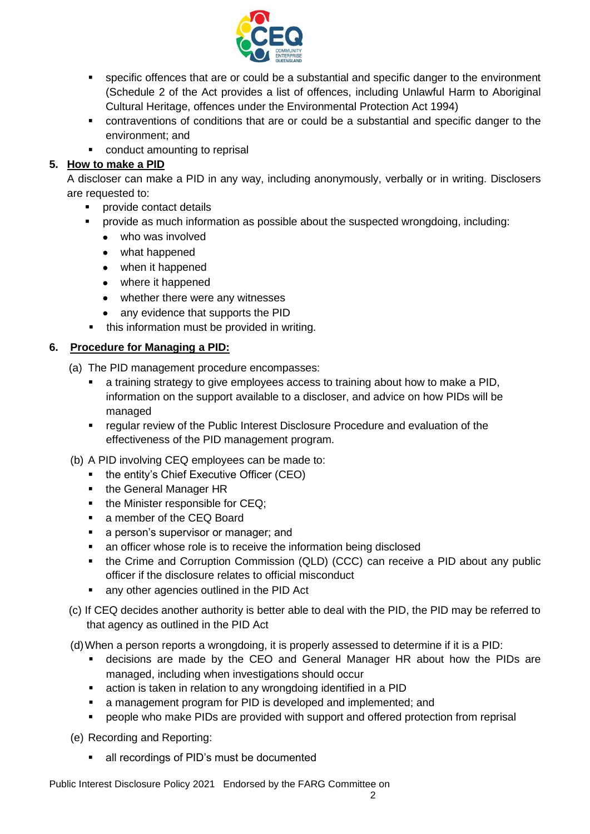

- specific offences that are or could be a substantial and specific danger to the environment (Schedule 2 of the Act provides a list of offences, including Unlawful Harm to Aboriginal Cultural Heritage, offences under the Environmental Protection Act 1994)
- contraventions of conditions that are or could be a substantial and specific danger to the environment; and
- conduct amounting to reprisal

# **5. How to make a PID**

A discloser can make a PID in any way, including anonymously, verbally or in writing. Disclosers are requested to:

- provide contact details
- provide as much information as possible about the suspected wrongdoing, including:
	- who was involved
	- what happened
	- when it happened
	- where it happened
	- whether there were any witnesses
	- any evidence that supports the PID
- **•** this information must be provided in writing.

## **6. Procedure for Managing a PID:**

- (a) The PID management procedure encompasses:
	- a training strategy to give employees access to training about how to make a PID, information on the support available to a discloser, and advice on how PIDs will be managed
	- regular review of the Public Interest Disclosure Procedure and evaluation of the effectiveness of the PID management program.
- (b) A PID involving CEQ employees can be made to:
	- the entity's Chief Executive Officer (CEO)
	- the General Manager HR
	- the Minister responsible for CEQ;
	- a member of the CEQ Board
	- **■** a person's supervisor or manager; and
	- an officer whose role is to receive the information being disclosed
	- the Crime and Corruption Commission (QLD) (CCC) can receive a PID about any public officer if the disclosure relates to official misconduct
	- any other agencies outlined in the PID Act
- (c) If CEQ decides another authority is better able to deal with the PID, the PID may be referred to that agency as outlined in the PID Act
- (d)When a person reports a wrongdoing, it is properly assessed to determine if it is a PID:
	- decisions are made by the CEO and General Manager HR about how the PIDs are managed, including when investigations should occur
	- action is taken in relation to any wrongdoing identified in a PID
	- a management program for PID is developed and implemented; and
	- **•** people who make PIDs are provided with support and offered protection from reprisal

(e) Recording and Reporting:

■ all recordings of PID's must be documented

Public Interest Disclosure Policy 2021 Endorsed by the FARG Committee on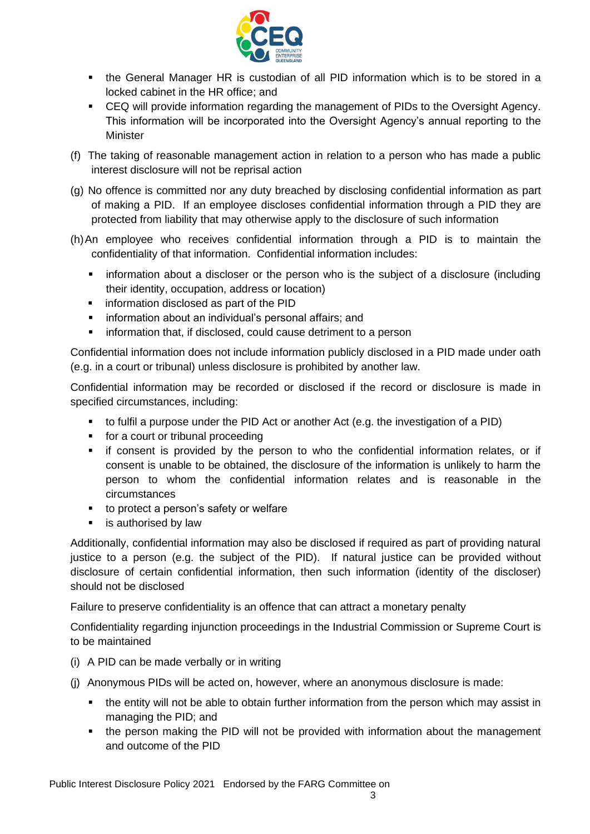

- the General Manager HR is custodian of all PID information which is to be stored in a locked cabinet in the HR office; and
- CEQ will provide information regarding the management of PIDs to the Oversight Agency. This information will be incorporated into the Oversight Agency's annual reporting to the Minister
- (f) The taking of reasonable management action in relation to a person who has made a public interest disclosure will not be reprisal action
- (g) No offence is committed nor any duty breached by disclosing confidential information as part of making a PID. If an employee discloses confidential information through a PID they are protected from liability that may otherwise apply to the disclosure of such information
- (h)An employee who receives confidential information through a PID is to maintain the confidentiality of that information. Confidential information includes:
	- **•** information about a discloser or the person who is the subject of a disclosure (including their identity, occupation, address or location)
	- **·** information disclosed as part of the PID
	- information about an individual's personal affairs; and
	- **E** information that, if disclosed, could cause detriment to a person

Confidential information does not include information publicly disclosed in a PID made under oath (e.g. in a court or tribunal) unless disclosure is prohibited by another law.

Confidential information may be recorded or disclosed if the record or disclosure is made in specified circumstances, including:

- to fulfil a purpose under the PID Act or another Act (e.g. the investigation of a PID)
- for a court or tribunal proceeding
- if consent is provided by the person to who the confidential information relates, or if consent is unable to be obtained, the disclosure of the information is unlikely to harm the person to whom the confidential information relates and is reasonable in the circumstances
- to protect a person's safety or welfare
- is authorised by law

Additionally, confidential information may also be disclosed if required as part of providing natural justice to a person (e.g. the subject of the PID). If natural justice can be provided without disclosure of certain confidential information, then such information (identity of the discloser) should not be disclosed

Failure to preserve confidentiality is an offence that can attract a monetary penalty

Confidentiality regarding injunction proceedings in the Industrial Commission or Supreme Court is to be maintained

- (i) A PID can be made verbally or in writing
- (j) Anonymous PIDs will be acted on, however, where an anonymous disclosure is made:
	- the entity will not be able to obtain further information from the person which may assist in managing the PID; and
	- the person making the PID will not be provided with information about the management and outcome of the PID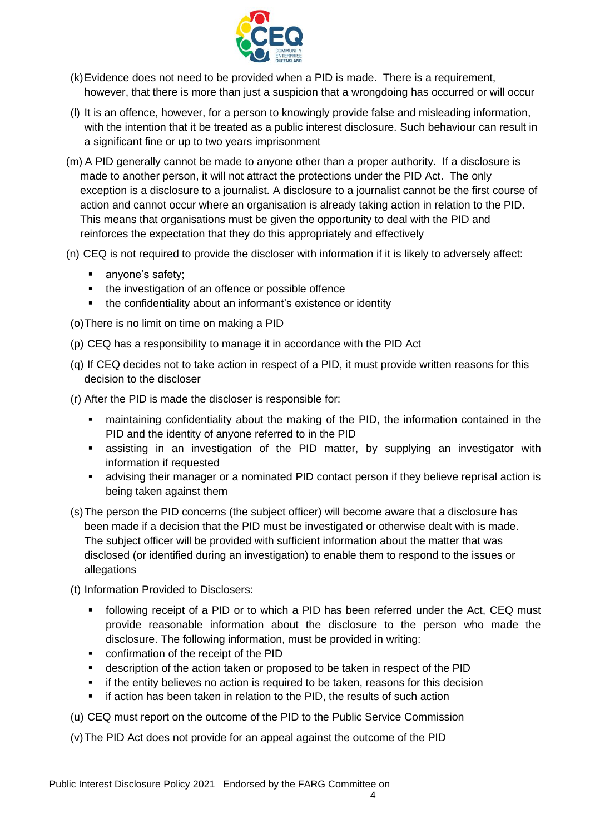

- (k)Evidence does not need to be provided when a PID is made. There is a requirement, however, that there is more than just a suspicion that a wrongdoing has occurred or will occur
- (l) It is an offence, however, for a person to knowingly provide false and misleading information, with the intention that it be treated as a public interest disclosure. Such behaviour can result in a significant fine or up to two years imprisonment
- (m) A PID generally cannot be made to anyone other than a proper authority. If a disclosure is made to another person, it will not attract the protections under the PID Act. The only exception is a disclosure to a journalist. A disclosure to a journalist cannot be the first course of action and cannot occur where an organisation is already taking action in relation to the PID. This means that organisations must be given the opportunity to deal with the PID and reinforces the expectation that they do this appropriately and effectively
- (n) CEQ is not required to provide the discloser with information if it is likely to adversely affect:
	- anyone's safety;
	- the investigation of an offence or possible offence
	- **.** the confidentiality about an informant's existence or identity
- (o)There is no limit on time on making a PID
- (p) CEQ has a responsibility to manage it in accordance with the PID Act
- (q) If CEQ decides not to take action in respect of a PID, it must provide written reasons for this decision to the discloser
- (r) After the PID is made the discloser is responsible for:
	- maintaining confidentiality about the making of the PID, the information contained in the PID and the identity of anyone referred to in the PID
	- **EXEL Assisting in an investigation of the PID matter, by supplying an investigator with** information if requested
	- **EXECT** advising their manager or a nominated PID contact person if they believe reprisal action is being taken against them
- (s)The person the PID concerns (the subject officer) will become aware that a disclosure has been made if a decision that the PID must be investigated or otherwise dealt with is made. The subject officer will be provided with sufficient information about the matter that was disclosed (or identified during an investigation) to enable them to respond to the issues or allegations
- (t) Information Provided to Disclosers:
	- following receipt of a PID or to which a PID has been referred under the Act, CEQ must provide reasonable information about the disclosure to the person who made the disclosure. The following information, must be provided in writing:
	- confirmation of the receipt of the PID
	- description of the action taken or proposed to be taken in respect of the PID
	- if the entity believes no action is required to be taken, reasons for this decision
	- **.** if action has been taken in relation to the PID, the results of such action

(u) CEQ must report on the outcome of the PID to the Public Service Commission

(v)The PID Act does not provide for an appeal against the outcome of the PID